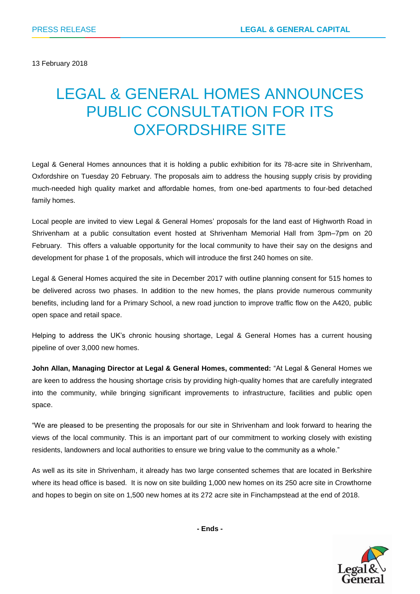13 February 2018

# LEGAL & GENERAL HOMES ANNOUNCES PUBLIC CONSULTATION FOR ITS OXFORDSHIRE SITE

Legal & General Homes announces that it is holding a public exhibition for its 78-acre site in Shrivenham, Oxfordshire on Tuesday 20 February. The proposals aim to address the housing supply crisis by providing much-needed high quality market and affordable homes, from one-bed apartments to four-bed detached family homes.

Local people are invited to view Legal & General Homes' proposals for the land east of Highworth Road in Shrivenham at a public consultation event hosted at Shrivenham Memorial Hall from 3pm–7pm on 20 February. This offers a valuable opportunity for the local community to have their say on the designs and development for phase 1 of the proposals, which will introduce the first 240 homes on site.

Legal & General Homes acquired the site in December 2017 with outline planning consent for 515 homes to be delivered across two phases. In addition to the new homes, the plans provide numerous community benefits, including land for a Primary School, a new road junction to improve traffic flow on the A420, public open space and retail space.

Helping to address the UK's chronic housing shortage, Legal & General Homes has a current housing pipeline of over 3,000 new homes.

**John Allan, Managing Director at Legal & General Homes, commented:** "At Legal & General Homes we are keen to address the housing shortage crisis by providing high-quality homes that are carefully integrated into the community, while bringing significant improvements to infrastructure, facilities and public open space.

"We are pleased to be presenting the proposals for our site in Shrivenham and look forward to hearing the views of the local community. This is an important part of our commitment to working closely with existing residents, landowners and local authorities to ensure we bring value to the community as a whole."

As well as its site in Shrivenham, it already has two large consented schemes that are located in Berkshire where its head office is based. It is now on site building 1,000 new homes on its 250 acre site in Crowthorne and hopes to begin on site on 1,500 new homes at its 272 acre site in Finchampstead at the end of 2018.

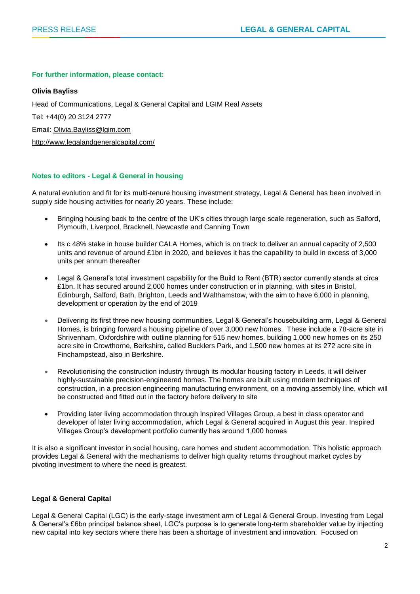#### **For further information, please contact:**

#### **Olivia Bayliss**

Head of Communications, Legal & General Capital and LGIM Real Assets Tel: +44(0) 20 3124 2777 Email: [Olivia.Bayliss@lgim.com](mailto:Olivia.Bayliss@lgim.com) <http://www.legalandgeneralcapital.com/>

# **Notes to editors - Legal & General in housing**

A natural evolution and fit for its multi-tenure housing investment strategy, Legal & General has been involved in supply side housing activities for nearly 20 years. These include:

- Bringing housing back to the centre of the UK's cities through large scale regeneration, such as Salford, Plymouth, Liverpool, Bracknell, Newcastle and Canning Town
- Its c 48% stake in house builder CALA Homes, which is on track to deliver an annual capacity of 2,500 units and revenue of around £1bn in 2020, and believes it has the capability to build in excess of 3,000 units per annum thereafter
- Legal & General's total investment capability for the Build to Rent (BTR) sector currently stands at circa £1bn. It has secured around 2,000 homes under construction or in planning, with sites in Bristol, Edinburgh, Salford, Bath, Brighton, Leeds and Walthamstow, with the aim to have 6,000 in planning, development or operation by the end of 2019
- Delivering its first three new housing communities, Legal & General's housebuilding arm, Legal & General Homes, is bringing forward a housing pipeline of over 3,000 new homes. These include a 78-acre site in Shrivenham, Oxfordshire with outline planning for 515 new homes, building 1,000 new homes on its 250 acre site in Crowthorne, Berkshire, called Bucklers Park, and 1,500 new homes at its 272 acre site in Finchampstead, also in Berkshire.
- Revolutionising the construction industry through its modular housing factory in Leeds, it will deliver highly-sustainable precision-engineered homes. The homes are built using modern techniques of construction, in a precision engineering manufacturing environment, on a moving assembly line, which will be constructed and fitted out in the factory before delivery to site
- Providing later living accommodation through Inspired Villages Group, a best in class operator and developer of later living accommodation, which Legal & General acquired in August this year. Inspired Villages Group's development portfolio currently has around 1,000 homes

It is also a significant investor in social housing, care homes and student accommodation. This holistic approach provides Legal & General with the mechanisms to deliver high quality returns throughout market cycles by pivoting investment to where the need is greatest.

### **Legal & General Capital**

Legal & General Capital (LGC) is the early-stage investment arm of Legal & General Group. Investing from Legal & General's £6bn principal balance sheet, LGC's purpose is to generate long-term shareholder value by injecting new capital into key sectors where there has been a shortage of investment and innovation. Focused on